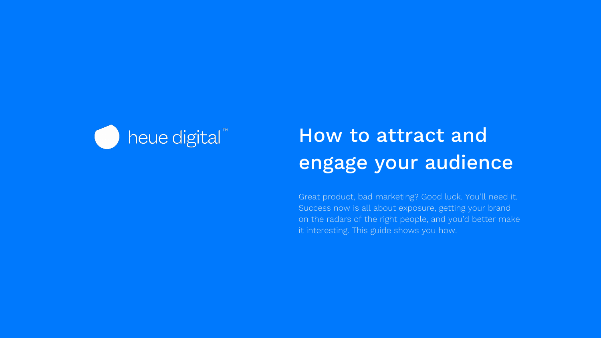

# How to attract and engage your audience

Great product, bad marketing? Good luck. You'll need it. Success now is all about exposure, getting your brand on the radars of the right people, and you'd better make it interesting. This guide shows you how.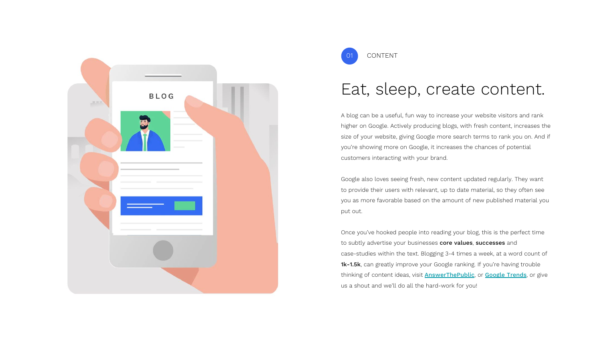



#### Eat, sleep, create content.

A blog can be a useful, fun way to increase your website visitors and rank higher on Google. Actively producing blogs, with fresh content, increases the size of your website, giving Google more search terms to rank you on. And if you're showing more on Google, it increases the chances of potential customers interacting with your brand.

Google also loves seeing fresh, new content updated regularly. They want to provide their users with relevant, up to date material, so they often see you as more favorable based on the amount of new published material you put out.

Once you've hooked people into reading your blog, this is the perfect time to subtly advertise your businesses core values, successes and case-studies within the text. Blogging 3-4 times a week, at a word count of 1k-1.5k, can greatly improve your Google ranking. If you're having trouble thinking of content ideas, visit **[AnswerThePublic](https://answerthepublic.com/)**, or **[Google Trends](https://trends.google.com/trends/)**, or give us a shout and we'll do all the hard-work for you!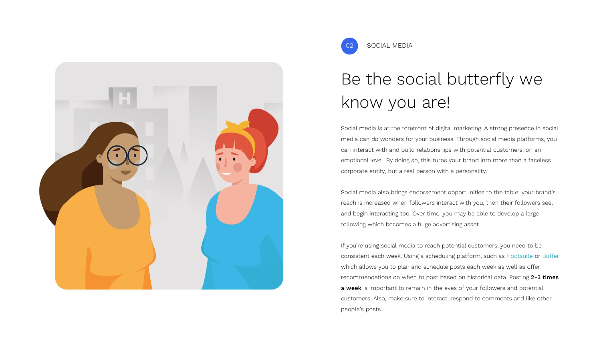

SOCIAL MEDIA

## Be the social butterfly we know you are!

Social media is at the forefront of digital marketing. A strong presence in social media can do wonders for your business. Through social media platforms, you can interact with and build relationships with potential customers, on an emotional level. By doing so, this turns your brand into more than a faceless corporate entity, but a real person with a personality.

Social media also brings endorsement opportunities to the table; your brand's reach is increased when followers interact with you, then their followers see, and begin interacting too. Over time, you may be able to develop a large following which becomes a huge advertising asset.

If you're using social media to reach potential customers, you need to be consistent each week. Using a scheduling platform, such as [Hootsuite](https://hootsuite.com/en-gb/) or [Buffer](https://buffer.com/) which allows you to plan and schedule posts each week as well as offer recommendations on when to post based on historical data. Posting 2-3 times a week is important to remain in the eyes of your followers and potential customers. Also, make sure to interact, respond to comments and like other people's posts.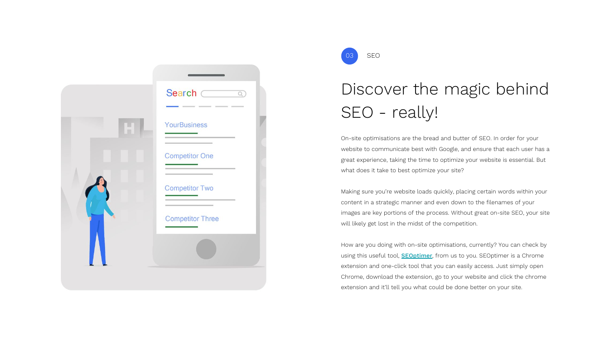|  | Search $\overline{\phantom{C}}$<br>$\overline{\circ}$          |  |
|--|----------------------------------------------------------------|--|
|  | YourBusiness                                                   |  |
|  | <b>Competitor One</b>                                          |  |
|  | <b>Competitor Two</b>                                          |  |
|  | the contract of the contract of the<br><b>Competitor Three</b> |  |
|  |                                                                |  |
|  |                                                                |  |



### Discover the magic behind SEO - really!

On-site optimisations are the bread and butter of SEO. In order for your website to communicate best with Google, and ensure that each user has a great experience, taking the time to optimize your website is essential. But what does it take to best optimize your site?

Making sure you're website loads quickly, placing certain words within your content in a strategic manner and even down to the filenames of your images are key portions of the process. Without great on-site SEO, your site will likely get lost in the midst of the competition.

How are you doing with on-site optimisations, currently? You can check by using this useful tool, **[SEOptimer](https://www.seoptimer.com/)**, from us to you. SEOptimer is a Chrome extension and one-click tool that you can easily access. Just simply open Chrome, download the extension, go to your website and click the chrome extension and it'll tell you what could be done better on your site.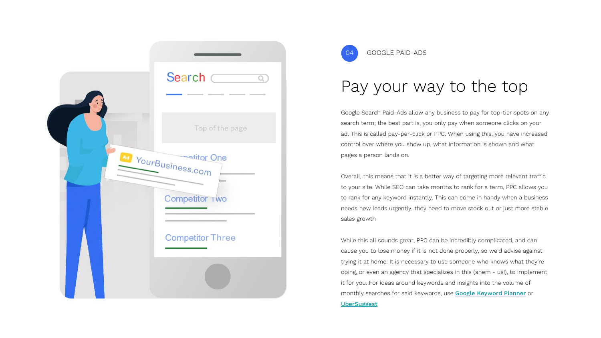



#### Pay your way to the top

Google Search Paid-Ads allow any business to pay for top-tier spots on any search term; the best part is, you only pay when someone clicks on your ad. This is called pay-per-click or PPC. When using this, you have increased control over where you show up, what information is shown and what pages a person lands on.

Overall, this means that it is a better way of targeting more relevant traffic to your site. While SEO can take months to rank for a term, PPC allows you to rank for any keyword instantly. This can come in handy when a business needs new leads urgently, they need to move stock out or just more stable sales growth

While this all sounds great, PPC can be incredibly complicated, and can cause you to lose money if it is not done properly, so we'd advise against trying it at home. It is necessary to use someone who knows what they're doing, or even an agency that specializes in this (ahem - us!), to implement it for you. For ideas around keywords and insights into the volume of monthly searches for said keywords, use [Google Keyword Planner](https://ads.google.com/intl/en_uk/home/tools/keyword-planner/) or [UberSuggest](https://neilpatel.com/).